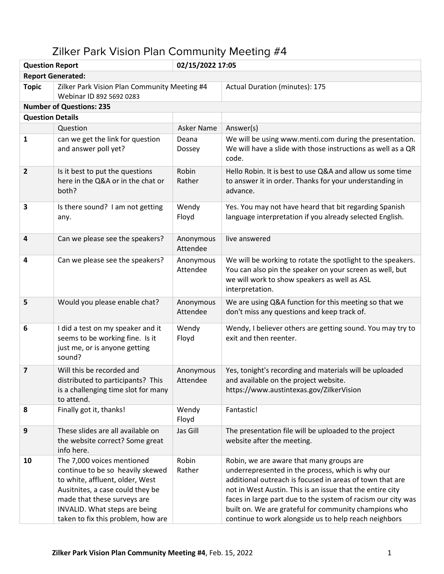| 02/15/2022 17:05<br><b>Question Report</b> |                                                                                                                                                                                                                                             |                       |                                                                                                                                                                                                                                                                                                                                                                                                          |  |  |
|--------------------------------------------|---------------------------------------------------------------------------------------------------------------------------------------------------------------------------------------------------------------------------------------------|-----------------------|----------------------------------------------------------------------------------------------------------------------------------------------------------------------------------------------------------------------------------------------------------------------------------------------------------------------------------------------------------------------------------------------------------|--|--|
|                                            | <b>Report Generated:</b>                                                                                                                                                                                                                    |                       |                                                                                                                                                                                                                                                                                                                                                                                                          |  |  |
| <b>Topic</b>                               | Zilker Park Vision Plan Community Meeting #4<br>Webinar ID 892 5692 0283                                                                                                                                                                    |                       | Actual Duration (minutes): 175                                                                                                                                                                                                                                                                                                                                                                           |  |  |
|                                            | <b>Number of Questions: 235</b>                                                                                                                                                                                                             |                       |                                                                                                                                                                                                                                                                                                                                                                                                          |  |  |
| <b>Question Details</b>                    |                                                                                                                                                                                                                                             |                       |                                                                                                                                                                                                                                                                                                                                                                                                          |  |  |
|                                            | Question                                                                                                                                                                                                                                    | Asker Name            | Answer(s)                                                                                                                                                                                                                                                                                                                                                                                                |  |  |
| 1                                          | can we get the link for question<br>and answer poll yet?                                                                                                                                                                                    | Deana<br>Dossey       | We will be using www.menti.com during the presentation.<br>We will have a slide with those instructions as well as a QR<br>code.                                                                                                                                                                                                                                                                         |  |  |
| $\overline{2}$                             | Is it best to put the questions<br>here in the Q&A or in the chat or<br>both?                                                                                                                                                               | Robin<br>Rather       | Hello Robin. It is best to use Q&A and allow us some time<br>to answer it in order. Thanks for your understanding in<br>advance.                                                                                                                                                                                                                                                                         |  |  |
| 3                                          | Is there sound? I am not getting<br>any.                                                                                                                                                                                                    | Wendy<br>Floyd        | Yes. You may not have heard that bit regarding Spanish<br>language interpretation if you already selected English.                                                                                                                                                                                                                                                                                       |  |  |
| 4                                          | Can we please see the speakers?                                                                                                                                                                                                             | Anonymous<br>Attendee | live answered                                                                                                                                                                                                                                                                                                                                                                                            |  |  |
| 4                                          | Can we please see the speakers?                                                                                                                                                                                                             | Anonymous<br>Attendee | We will be working to rotate the spotlight to the speakers.<br>You can also pin the speaker on your screen as well, but<br>we will work to show speakers as well as ASL<br>interpretation.                                                                                                                                                                                                               |  |  |
| 5                                          | Would you please enable chat?                                                                                                                                                                                                               | Anonymous<br>Attendee | We are using Q&A function for this meeting so that we<br>don't miss any questions and keep track of.                                                                                                                                                                                                                                                                                                     |  |  |
| 6                                          | I did a test on my speaker and it<br>seems to be working fine. Is it<br>just me, or is anyone getting<br>sound?                                                                                                                             | Wendy<br>Floyd        | Wendy, I believer others are getting sound. You may try to<br>exit and then reenter.                                                                                                                                                                                                                                                                                                                     |  |  |
| $\overline{\mathbf{z}}$                    | Will this be recorded and<br>distributed to participants? This<br>is a challenging time slot for many<br>to attend.                                                                                                                         | Anonymous<br>Attendee | Yes, tonight's recording and materials will be uploaded<br>and available on the project website.<br>https://www.austintexas.gov/ZilkerVision                                                                                                                                                                                                                                                             |  |  |
| 8                                          | Finally got it, thanks!                                                                                                                                                                                                                     | Wendy<br>Floyd        | Fantastic!                                                                                                                                                                                                                                                                                                                                                                                               |  |  |
| 9                                          | These slides are all available on<br>the website correct? Some great<br>info here.                                                                                                                                                          | Jas Gill              | The presentation file will be uploaded to the project<br>website after the meeting.                                                                                                                                                                                                                                                                                                                      |  |  |
| 10                                         | The 7,000 voices mentioned<br>continue to be so heavily skewed<br>to white, affluent, older, West<br>Ausitnites, a case could they be<br>made that these surveys are<br>INVALID. What steps are being<br>taken to fix this problem, how are | Robin<br>Rather       | Robin, we are aware that many groups are<br>underrepresented in the process, which is why our<br>additional outreach is focused in areas of town that are<br>not in West Austin. This is an issue that the entire city<br>faces in large part due to the system of racism our city was<br>built on. We are grateful for community champions who<br>continue to work alongside us to help reach neighbors |  |  |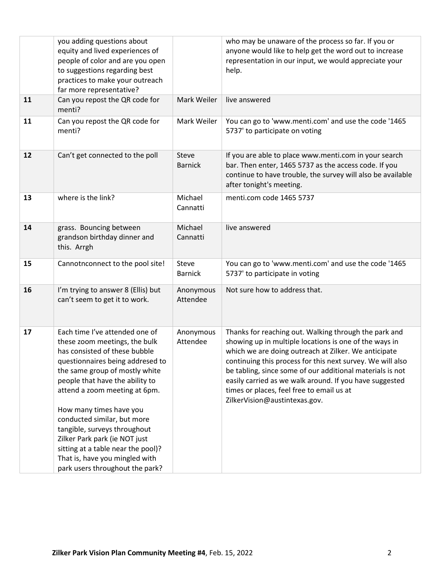|    | you adding questions about<br>equity and lived experiences of<br>people of color and are you open<br>to suggestions regarding best<br>practices to make your outreach<br>far more representative?                                                                                                                                                                                                                                                                                |                         | who may be unaware of the process so far. If you or<br>anyone would like to help get the word out to increase<br>representation in our input, we would appreciate your<br>help.                                                                                                                                                                                                                                                             |
|----|----------------------------------------------------------------------------------------------------------------------------------------------------------------------------------------------------------------------------------------------------------------------------------------------------------------------------------------------------------------------------------------------------------------------------------------------------------------------------------|-------------------------|---------------------------------------------------------------------------------------------------------------------------------------------------------------------------------------------------------------------------------------------------------------------------------------------------------------------------------------------------------------------------------------------------------------------------------------------|
| 11 | Can you repost the QR code for<br>menti?                                                                                                                                                                                                                                                                                                                                                                                                                                         | Mark Weiler             | live answered                                                                                                                                                                                                                                                                                                                                                                                                                               |
| 11 | Can you repost the QR code for<br>menti?                                                                                                                                                                                                                                                                                                                                                                                                                                         | Mark Weiler             | You can go to 'www.menti.com' and use the code '1465<br>5737' to participate on voting                                                                                                                                                                                                                                                                                                                                                      |
| 12 | Can't get connected to the poll                                                                                                                                                                                                                                                                                                                                                                                                                                                  | Steve<br><b>Barnick</b> | If you are able to place www.menti.com in your search<br>bar. Then enter, 1465 5737 as the access code. If you<br>continue to have trouble, the survey will also be available<br>after tonight's meeting.                                                                                                                                                                                                                                   |
| 13 | where is the link?                                                                                                                                                                                                                                                                                                                                                                                                                                                               | Michael<br>Cannatti     | menti.com code 1465 5737                                                                                                                                                                                                                                                                                                                                                                                                                    |
| 14 | grass. Bouncing between<br>grandson birthday dinner and<br>this. Arrgh                                                                                                                                                                                                                                                                                                                                                                                                           | Michael<br>Cannatti     | live answered                                                                                                                                                                                                                                                                                                                                                                                                                               |
| 15 | Cannotnconnect to the pool site!                                                                                                                                                                                                                                                                                                                                                                                                                                                 | Steve<br><b>Barnick</b> | You can go to 'www.menti.com' and use the code '1465<br>5737' to participate in voting                                                                                                                                                                                                                                                                                                                                                      |
| 16 | I'm trying to answer 8 (Ellis) but<br>can't seem to get it to work.                                                                                                                                                                                                                                                                                                                                                                                                              | Anonymous<br>Attendee   | Not sure how to address that.                                                                                                                                                                                                                                                                                                                                                                                                               |
| 17 | Each time I've attended one of<br>these zoom meetings, the bulk<br>has consisted of these bubble<br>questionnaires being addresed to<br>the same group of mostly white<br>people that have the ability to<br>attend a zoom meeting at 6pm.<br>How many times have you<br>conducted similar, but more<br>tangible, surveys throughout<br>Zilker Park park (ie NOT just<br>sitting at a table near the pool)?<br>That is, have you mingled with<br>park users throughout the park? | Anonymous<br>Attendee   | Thanks for reaching out. Walking through the park and<br>showing up in multiple locations is one of the ways in<br>which we are doing outreach at Zilker. We anticipate<br>continuing this process for this next survey. We will also<br>be tabling, since some of our additional materials is not<br>easily carried as we walk around. If you have suggested<br>times or places, feel free to email us at<br>ZilkerVision@austintexas.gov. |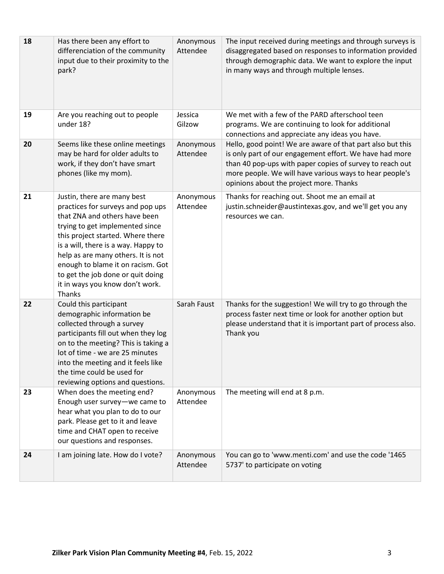| 18 | Has there been any effort to<br>differenciation of the community<br>input due to their proximity to the<br>park?                                                                                                                                                                                                                                                              | Anonymous<br>Attendee | The input received during meetings and through surveys is<br>disaggregated based on responses to information provided<br>through demographic data. We want to explore the input<br>in many ways and through multiple lenses.                                                            |
|----|-------------------------------------------------------------------------------------------------------------------------------------------------------------------------------------------------------------------------------------------------------------------------------------------------------------------------------------------------------------------------------|-----------------------|-----------------------------------------------------------------------------------------------------------------------------------------------------------------------------------------------------------------------------------------------------------------------------------------|
| 19 | Are you reaching out to people<br>under 18?                                                                                                                                                                                                                                                                                                                                   | Jessica<br>Gilzow     | We met with a few of the PARD afterschool teen<br>programs. We are continuing to look for additional<br>connections and appreciate any ideas you have.                                                                                                                                  |
| 20 | Seems like these online meetings<br>may be hard for older adults to<br>work, if they don't have smart<br>phones (like my mom).                                                                                                                                                                                                                                                | Anonymous<br>Attendee | Hello, good point! We are aware of that part also but this<br>is only part of our engagement effort. We have had more<br>than 40 pop-ups with paper copies of survey to reach out<br>more people. We will have various ways to hear people's<br>opinions about the project more. Thanks |
| 21 | Justin, there are many best<br>practices for surveys and pop ups<br>that ZNA and others have been<br>trying to get implemented since<br>this project started. Where there<br>is a will, there is a way. Happy to<br>help as are many others. It is not<br>enough to blame it on racism. Got<br>to get the job done or quit doing<br>it in ways you know don't work.<br>Thanks | Anonymous<br>Attendee | Thanks for reaching out. Shoot me an email at<br>justin.schneider@austintexas.gov, and we'll get you any<br>resources we can.                                                                                                                                                           |
| 22 | Could this participant<br>demographic information be<br>collected through a survey<br>participants fill out when they log<br>on to the meeting? This is taking a<br>lot of time - we are 25 minutes<br>into the meeting and it feels like<br>the time could be used for<br>reviewing options and questions.                                                                   | Sarah Faust           | Thanks for the suggestion! We will try to go through the<br>process faster next time or look for another option but<br>please understand that it is important part of process also.<br>Thank you                                                                                        |
| 23 | When does the meeting end?<br>Enough user survey-we came to<br>hear what you plan to do to our<br>park. Please get to it and leave<br>time and CHAT open to receive<br>our questions and responses.                                                                                                                                                                           | Anonymous<br>Attendee | The meeting will end at 8 p.m.                                                                                                                                                                                                                                                          |
| 24 | I am joining late. How do I vote?                                                                                                                                                                                                                                                                                                                                             | Anonymous<br>Attendee | You can go to 'www.menti.com' and use the code '1465<br>5737' to participate on voting                                                                                                                                                                                                  |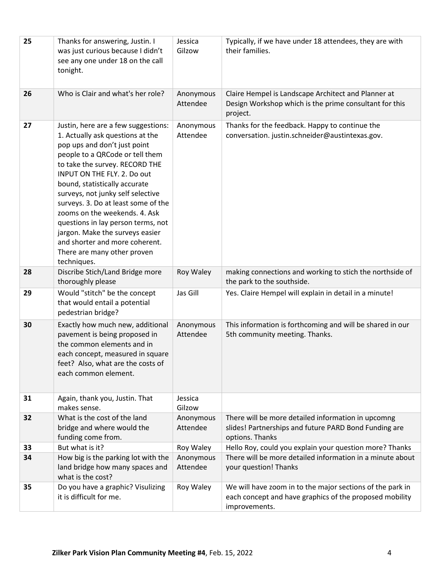| 25 | Thanks for answering, Justin. I<br>was just curious because I didn't<br>see any one under 18 on the call<br>tonight.                                                                                                                                                                                                                                                                                                                                                                                               | Jessica<br>Gilzow     | Typically, if we have under 18 attendees, they are with<br>their families.                                                            |
|----|--------------------------------------------------------------------------------------------------------------------------------------------------------------------------------------------------------------------------------------------------------------------------------------------------------------------------------------------------------------------------------------------------------------------------------------------------------------------------------------------------------------------|-----------------------|---------------------------------------------------------------------------------------------------------------------------------------|
| 26 | Who is Clair and what's her role?                                                                                                                                                                                                                                                                                                                                                                                                                                                                                  | Anonymous<br>Attendee | Claire Hempel is Landscape Architect and Planner at<br>Design Workshop which is the prime consultant for this<br>project.             |
| 27 | Justin, here are a few suggestions:<br>1. Actually ask questions at the<br>pop ups and don't just point<br>people to a QRCode or tell them<br>to take the survey. RECORD THE<br>INPUT ON THE FLY. 2. Do out<br>bound, statistically accurate<br>surveys, not junky self selective<br>surveys. 3. Do at least some of the<br>zooms on the weekends. 4. Ask<br>questions in lay person terms, not<br>jargon. Make the surveys easier<br>and shorter and more coherent.<br>There are many other proven<br>techniques. | Anonymous<br>Attendee | Thanks for the feedback. Happy to continue the<br>conversation. justin.schneider@austintexas.gov.                                     |
| 28 | Discribe Stich/Land Bridge more<br>thoroughly please                                                                                                                                                                                                                                                                                                                                                                                                                                                               | Roy Waley             | making connections and working to stich the northside of<br>the park to the southside.                                                |
| 29 | Would "stitch" be the concept<br>that would entail a potential<br>pedestrian bridge?                                                                                                                                                                                                                                                                                                                                                                                                                               | Jas Gill              | Yes. Claire Hempel will explain in detail in a minute!                                                                                |
| 30 | Exactly how much new, additional<br>pavement is being proposed in<br>the common elements and in<br>each concept, measured in square<br>feet? Also, what are the costs of<br>each common element.                                                                                                                                                                                                                                                                                                                   | Anonymous<br>Attendee | This information is forthcoming and will be shared in our<br>5th community meeting. Thanks.                                           |
| 31 | Again, thank you, Justin. That<br>makes sense.                                                                                                                                                                                                                                                                                                                                                                                                                                                                     | Jessica<br>Gilzow     |                                                                                                                                       |
| 32 | What is the cost of the land<br>bridge and where would the<br>funding come from.                                                                                                                                                                                                                                                                                                                                                                                                                                   | Anonymous<br>Attendee | There will be more detailed information in upcomng<br>slides! Partnerships and future PARD Bond Funding are<br>options. Thanks        |
| 33 | But what is it?                                                                                                                                                                                                                                                                                                                                                                                                                                                                                                    | Roy Waley             | Hello Roy, could you explain your question more? Thanks                                                                               |
| 34 | How big is the parking lot with the<br>land bridge how many spaces and<br>what is the cost?                                                                                                                                                                                                                                                                                                                                                                                                                        | Anonymous<br>Attendee | There will be more detailed information in a minute about<br>your question! Thanks                                                    |
| 35 | Do you have a graphic? Visulizing<br>it is difficult for me.                                                                                                                                                                                                                                                                                                                                                                                                                                                       | Roy Waley             | We will have zoom in to the major sections of the park in<br>each concept and have graphics of the proposed mobility<br>improvements. |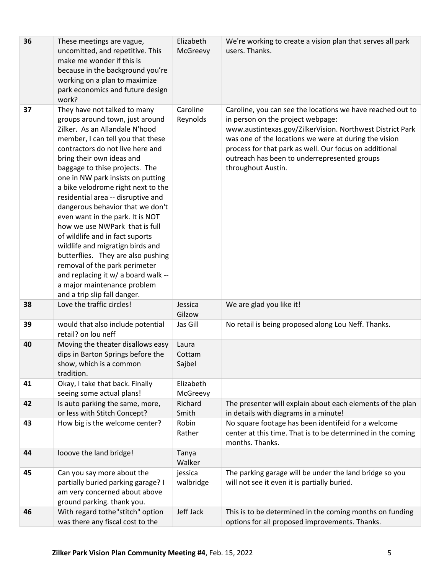| 36 | These meetings are vague,<br>uncomitted, and repetitive. This<br>make me wonder if this is<br>because in the background you're<br>working on a plan to maximize<br>park economics and future design<br>work?                                                                                                                                                                                                                                                                                                                                                                                                                                                                                                             | Elizabeth<br>McGreevy     | We're working to create a vision plan that serves all park<br>users. Thanks.                                                                                                                                                                                                                                                                          |
|----|--------------------------------------------------------------------------------------------------------------------------------------------------------------------------------------------------------------------------------------------------------------------------------------------------------------------------------------------------------------------------------------------------------------------------------------------------------------------------------------------------------------------------------------------------------------------------------------------------------------------------------------------------------------------------------------------------------------------------|---------------------------|-------------------------------------------------------------------------------------------------------------------------------------------------------------------------------------------------------------------------------------------------------------------------------------------------------------------------------------------------------|
| 37 | They have not talked to many<br>groups around town, just around<br>Zilker. As an Allandale N'hood<br>member, I can tell you that these<br>contractors do not live here and<br>bring their own ideas and<br>baggage to thise projects. The<br>one in NW park insists on putting<br>a bike velodrome right next to the<br>residential area -- disruptive and<br>dangerous behavior that we don't<br>even want in the park. It is NOT<br>how we use NWPark that is full<br>of wildlife and in fact suports<br>wildlife and migratign birds and<br>butterflies. They are also pushing<br>removal of the park perimeter<br>and replacing it w/ a board walk --<br>a major maintenance problem<br>and a trip slip fall danger. | Caroline<br>Reynolds      | Caroline, you can see the locations we have reached out to<br>in person on the project webpage:<br>www.austintexas.gov/ZilkerVision. Northwest District Park<br>was one of the locations we were at during the vision<br>process for that park as well. Our focus on additional<br>outreach has been to underrepresented groups<br>throughout Austin. |
| 38 | Love the traffic circles!                                                                                                                                                                                                                                                                                                                                                                                                                                                                                                                                                                                                                                                                                                | Jessica<br>Gilzow         | We are glad you like it!                                                                                                                                                                                                                                                                                                                              |
| 39 | would that also include potential<br>retail? on lou neff                                                                                                                                                                                                                                                                                                                                                                                                                                                                                                                                                                                                                                                                 | Jas Gill                  | No retail is being proposed along Lou Neff. Thanks.                                                                                                                                                                                                                                                                                                   |
| 40 | Moving the theater disallows easy<br>dips in Barton Springs before the<br>show, which is a common<br>tradition.                                                                                                                                                                                                                                                                                                                                                                                                                                                                                                                                                                                                          | Laura<br>Cottam<br>Sajbel |                                                                                                                                                                                                                                                                                                                                                       |
| 41 | Okay, I take that back. Finally<br>seeing some actual plans!                                                                                                                                                                                                                                                                                                                                                                                                                                                                                                                                                                                                                                                             | Elizabeth<br>McGreevy     |                                                                                                                                                                                                                                                                                                                                                       |
| 42 | Is auto parking the same, more,<br>or less with Stitch Concept?                                                                                                                                                                                                                                                                                                                                                                                                                                                                                                                                                                                                                                                          | Richard<br>Smith          | The presenter will explain about each elements of the plan<br>in details with diagrams in a minute!                                                                                                                                                                                                                                                   |
| 43 | How big is the welcome center?                                                                                                                                                                                                                                                                                                                                                                                                                                                                                                                                                                                                                                                                                           | Robin<br>Rather           | No square footage has been identifeid for a welcome<br>center at this time. That is to be determined in the coming<br>months. Thanks.                                                                                                                                                                                                                 |
| 44 | looove the land bridge!                                                                                                                                                                                                                                                                                                                                                                                                                                                                                                                                                                                                                                                                                                  | Tanya<br>Walker           |                                                                                                                                                                                                                                                                                                                                                       |
| 45 | Can you say more about the<br>partially buried parking garage? I<br>am very concerned about above<br>ground parking. thank you.                                                                                                                                                                                                                                                                                                                                                                                                                                                                                                                                                                                          | jessica<br>walbridge      | The parking garage will be under the land bridge so you<br>will not see it even it is partially buried.                                                                                                                                                                                                                                               |
| 46 | With regard tothe"stitch" option<br>was there any fiscal cost to the                                                                                                                                                                                                                                                                                                                                                                                                                                                                                                                                                                                                                                                     | Jeff Jack                 | This is to be determined in the coming months on funding<br>options for all proposed improvements. Thanks.                                                                                                                                                                                                                                            |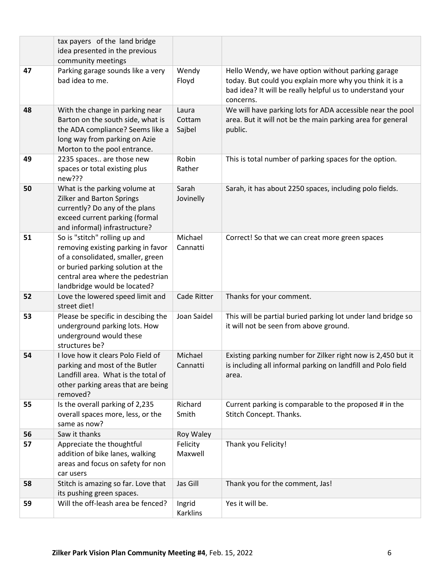|    | tax payers of the land bridge                                                                                                                                                                                      |                           |                                                                                                                                                                                         |
|----|--------------------------------------------------------------------------------------------------------------------------------------------------------------------------------------------------------------------|---------------------------|-----------------------------------------------------------------------------------------------------------------------------------------------------------------------------------------|
|    | idea presented in the previous                                                                                                                                                                                     |                           |                                                                                                                                                                                         |
|    | community meetings                                                                                                                                                                                                 |                           |                                                                                                                                                                                         |
| 47 | Parking garage sounds like a very<br>bad idea to me.                                                                                                                                                               | Wendy<br>Floyd            | Hello Wendy, we have option without parking garage<br>today. But could you explain more why you think it is a<br>bad idea? It will be really helpful us to understand your<br>concerns. |
| 48 | With the change in parking near<br>Barton on the south side, what is<br>the ADA compliance? Seems like a<br>long way from parking on Azie<br>Morton to the pool entrance.                                          | Laura<br>Cottam<br>Sajbel | We will have parking lots for ADA accessible near the pool<br>area. But it will not be the main parking area for general<br>public.                                                     |
| 49 | 2235 spaces are those new<br>spaces or total existing plus<br>new???                                                                                                                                               | Robin<br>Rather           | This is total number of parking spaces for the option.                                                                                                                                  |
| 50 | What is the parking volume at<br><b>Zilker and Barton Springs</b><br>currently? Do any of the plans<br>exceed current parking (formal<br>and informal) infrastructure?                                             | Sarah<br>Jovinelly        | Sarah, it has about 2250 spaces, including polo fields.                                                                                                                                 |
| 51 | So is "stitch" rolling up and<br>removing existing parking in favor<br>of a consolidated, smaller, green<br>or buried parking solution at the<br>central area where the pedestrian<br>landbridge would be located? | Michael<br>Cannatti       | Correct! So that we can creat more green spaces                                                                                                                                         |
| 52 | Love the lowered speed limit and<br>street diet!                                                                                                                                                                   | Cade Ritter               | Thanks for your comment.                                                                                                                                                                |
| 53 | Please be specific in descibing the<br>underground parking lots. How<br>underground would these<br>structures be?                                                                                                  | Joan Saidel               | This will be partial buried parking lot under land bridge so<br>it will not be seen from above ground.                                                                                  |
| 54 | I love how it clears Polo Field of<br>parking and most of the Butler<br>Landfill area. What is the total of<br>other parking areas that are being<br>removed?                                                      | Michael<br>Cannatti       | Existing parking number for Zilker right now is 2,450 but it<br>is including all informal parking on landfill and Polo field<br>area.                                                   |
| 55 | Is the overall parking of 2,235<br>overall spaces more, less, or the<br>same as now?                                                                                                                               | Richard<br>Smith          | Current parking is comparable to the proposed # in the<br>Stitch Concept. Thanks.                                                                                                       |
| 56 | Saw it thanks                                                                                                                                                                                                      | Roy Waley                 |                                                                                                                                                                                         |
| 57 | Appreciate the thoughtful<br>addition of bike lanes, walking<br>areas and focus on safety for non<br>car users                                                                                                     | Felicity<br>Maxwell       | Thank you Felicity!                                                                                                                                                                     |
| 58 | Stitch is amazing so far. Love that<br>its pushing green spaces.                                                                                                                                                   | Jas Gill                  | Thank you for the comment, Jas!                                                                                                                                                         |
| 59 | Will the off-leash area be fenced?                                                                                                                                                                                 | Ingrid<br>Karklins        | Yes it will be.                                                                                                                                                                         |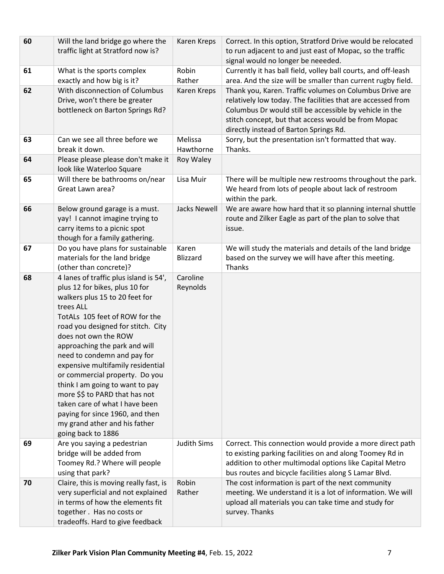| 60 | Will the land bridge go where the<br>traffic light at Stratford now is?                                                                                                                                                                                                                                                                                                                                                                                                                                                                                         | Karen Kreps          | Correct. In this option, Stratford Drive would be relocated<br>to run adjacent to and just east of Mopac, so the traffic<br>signal would no longer be neeeded.                                                                                                                     |
|----|-----------------------------------------------------------------------------------------------------------------------------------------------------------------------------------------------------------------------------------------------------------------------------------------------------------------------------------------------------------------------------------------------------------------------------------------------------------------------------------------------------------------------------------------------------------------|----------------------|------------------------------------------------------------------------------------------------------------------------------------------------------------------------------------------------------------------------------------------------------------------------------------|
| 61 | What is the sports complex<br>exactly and how big is it?                                                                                                                                                                                                                                                                                                                                                                                                                                                                                                        | Robin<br>Rather      | Currently it has ball field, volley ball courts, and off-leash<br>area. And the size will be smaller than current rugby field.                                                                                                                                                     |
| 62 | With disconnection of Columbus<br>Drive, won't there be greater<br>bottleneck on Barton Springs Rd?                                                                                                                                                                                                                                                                                                                                                                                                                                                             | Karen Kreps          | Thank you, Karen. Traffic volumes on Columbus Drive are<br>relatively low today. The facilities that are accessed from<br>Columbus Dr would still be accessible by vehicle in the<br>stitch concept, but that access would be from Mopac<br>directly instead of Barton Springs Rd. |
| 63 | Can we see all three before we<br>break it down.                                                                                                                                                                                                                                                                                                                                                                                                                                                                                                                | Melissa<br>Hawthorne | Sorry, but the presentation isn't formatted that way.<br>Thanks.                                                                                                                                                                                                                   |
| 64 | Please please please don't make it<br>look like Waterloo Square                                                                                                                                                                                                                                                                                                                                                                                                                                                                                                 | Roy Waley            |                                                                                                                                                                                                                                                                                    |
| 65 | Will there be bathrooms on/near<br>Great Lawn area?                                                                                                                                                                                                                                                                                                                                                                                                                                                                                                             | Lisa Muir            | There will be multiple new restrooms throughout the park.<br>We heard from lots of people about lack of restroom<br>within the park.                                                                                                                                               |
| 66 | Below ground garage is a must.<br>yay! I cannot imagine trying to<br>carry items to a picnic spot<br>though for a family gathering.                                                                                                                                                                                                                                                                                                                                                                                                                             | <b>Jacks Newell</b>  | We are aware how hard that it so planning internal shuttle<br>route and Zilker Eagle as part of the plan to solve that<br>issue.                                                                                                                                                   |
| 67 | Do you have plans for sustainable<br>materials for the land bridge<br>(other than concrete)?                                                                                                                                                                                                                                                                                                                                                                                                                                                                    | Karen<br>Blizzard    | We will study the materials and details of the land bridge<br>based on the survey we will have after this meeting.<br>Thanks                                                                                                                                                       |
| 68 | 4 lanes of traffic plus island is 54',<br>plus 12 for bikes, plus 10 for<br>walkers plus 15 to 20 feet for<br>trees ALL<br>TotALs 105 feet of ROW for the<br>road you designed for stitch. City<br>does not own the ROW<br>approaching the park and will<br>need to condemn and pay for<br>expensive multifamily residential<br>or commercial property. Do you<br>think I am going to want to pay<br>more \$\$ to PARD that has not<br>taken care of what I have been<br>paying for since 1960, and then<br>my grand ather and his father<br>going back to 1886 | Caroline<br>Reynolds |                                                                                                                                                                                                                                                                                    |
| 69 | Are you saying a pedestrian<br>bridge will be added from<br>Toomey Rd.? Where will people<br>using that park?                                                                                                                                                                                                                                                                                                                                                                                                                                                   | <b>Judith Sims</b>   | Correct. This connection would provide a more direct path<br>to existing parking facilities on and along Toomey Rd in<br>addition to other multimodal options like Capital Metro<br>bus routes and bicycle facilities along S Lamar Blvd.                                          |
| 70 | Claire, this is moving really fast, is<br>very superficial and not explained<br>in terms of how the elements fit<br>together. Has no costs or<br>tradeoffs. Hard to give feedback                                                                                                                                                                                                                                                                                                                                                                               | Robin<br>Rather      | The cost information is part of the next community<br>meeting. We understand it is a lot of information. We will<br>upload all materials you can take time and study for<br>survey. Thanks                                                                                         |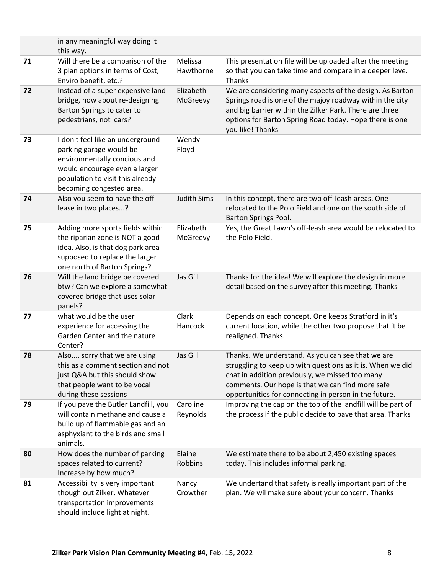|    | in any meaningful way doing it<br>this way.                                                                                                                                                  |                       |                                                                                                                                                                                                                                                                                 |
|----|----------------------------------------------------------------------------------------------------------------------------------------------------------------------------------------------|-----------------------|---------------------------------------------------------------------------------------------------------------------------------------------------------------------------------------------------------------------------------------------------------------------------------|
| 71 | Will there be a comparison of the<br>3 plan options in terms of Cost,<br>Enviro benefit, etc.?                                                                                               | Melissa<br>Hawthorne  | This presentation file will be uploaded after the meeting<br>so that you can take time and compare in a deeper leve.<br>Thanks                                                                                                                                                  |
| 72 | Instead of a super expensive land<br>bridge, how about re-designing<br>Barton Springs to cater to<br>pedestrians, not cars?                                                                  | Elizabeth<br>McGreevy | We are considering many aspects of the design. As Barton<br>Springs road is one of the majoy roadway within the city<br>and big barrier within the Zilker Park. There are three<br>options for Barton Spring Road today. Hope there is one<br>you like! Thanks                  |
| 73 | I don't feel like an underground<br>parking garage would be<br>environmentally concious and<br>would encourage even a larger<br>population to visit this already<br>becoming congested area. | Wendy<br>Floyd        |                                                                                                                                                                                                                                                                                 |
| 74 | Also you seem to have the off<br>lease in two places?                                                                                                                                        | <b>Judith Sims</b>    | In this concept, there are two off-leash areas. One<br>relocated to the Polo Field and one on the south side of<br>Barton Springs Pool.                                                                                                                                         |
| 75 | Adding more sports fields within<br>the riparian zone is NOT a good<br>idea. Also, is that dog park area<br>supposed to replace the larger<br>one north of Barton Springs?                   | Elizabeth<br>McGreevy | Yes, the Great Lawn's off-leash area would be relocated to<br>the Polo Field.                                                                                                                                                                                                   |
| 76 | Will the land bridge be covered<br>btw? Can we explore a somewhat<br>covered bridge that uses solar<br>panels?                                                                               | Jas Gill              | Thanks for the idea! We will explore the design in more<br>detail based on the survey after this meeting. Thanks                                                                                                                                                                |
| 77 | what would be the user<br>experience for accessing the<br>Garden Center and the nature<br>Center?                                                                                            | Clark<br>Hancock      | Depends on each concept. One keeps Stratford in it's<br>current location, while the other two propose that it be<br>realigned. Thanks.                                                                                                                                          |
| 78 | Also sorry that we are using<br>this as a comment section and not<br>just Q&A but this should show<br>that people want to be vocal<br>during these sessions                                  | Jas Gill              | Thanks. We understand. As you can see that we are<br>struggling to keep up with questions as it is. When we did<br>chat in addition previously, we missed too many<br>comments. Our hope is that we can find more safe<br>opportunities for connecting in person in the future. |
| 79 | If you pave the Butler Landfill, you<br>will contain methane and cause a<br>build up of flammable gas and an<br>asphyxiant to the birds and small<br>animals.                                | Caroline<br>Reynolds  | Improving the cap on the top of the landfill will be part of<br>the process if the public decide to pave that area. Thanks                                                                                                                                                      |
| 80 | How does the number of parking<br>spaces related to current?<br>Increase by how much?                                                                                                        | Elaine<br>Robbins     | We estimate there to be about 2,450 existing spaces<br>today. This includes informal parking.                                                                                                                                                                                   |
| 81 | Accessibility is very important<br>though out Zilker. Whatever<br>transportation improvements<br>should include light at night.                                                              | Nancy<br>Crowther     | We undertand that safety is really important part of the<br>plan. We wil make sure about your concern. Thanks                                                                                                                                                                   |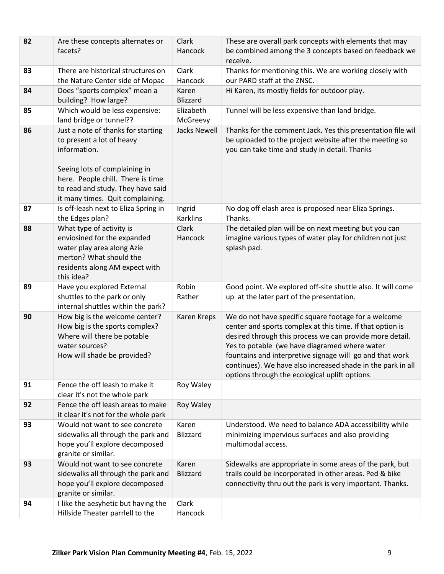| 82 | Are these concepts alternates or<br>facets?                                                                                                                                                                                    | Clark<br>Hancock          | These are overall park concepts with elements that may<br>be combined among the 3 concepts based on feedback we                                                                                                                                                                                                                                                                                             |
|----|--------------------------------------------------------------------------------------------------------------------------------------------------------------------------------------------------------------------------------|---------------------------|-------------------------------------------------------------------------------------------------------------------------------------------------------------------------------------------------------------------------------------------------------------------------------------------------------------------------------------------------------------------------------------------------------------|
|    |                                                                                                                                                                                                                                |                           | receive.                                                                                                                                                                                                                                                                                                                                                                                                    |
| 83 | There are historical structures on                                                                                                                                                                                             | Clark                     | Thanks for mentioning this. We are working closely with                                                                                                                                                                                                                                                                                                                                                     |
|    | the Nature Center side of Mopac                                                                                                                                                                                                | Hancock                   | our PARD staff at the ZNSC.                                                                                                                                                                                                                                                                                                                                                                                 |
| 84 | Does "sports complex" mean a<br>building? How large?                                                                                                                                                                           | Karen<br><b>Blizzard</b>  | Hi Karen, its mostly fields for outdoor play.                                                                                                                                                                                                                                                                                                                                                               |
| 85 | Which would be less expensive:                                                                                                                                                                                                 | Elizabeth                 | Tunnel will be less expensive than land bridge.                                                                                                                                                                                                                                                                                                                                                             |
|    | land bridge or tunnel??                                                                                                                                                                                                        | McGreevy                  |                                                                                                                                                                                                                                                                                                                                                                                                             |
| 86 | Just a note of thanks for starting<br>to present a lot of heavy<br>information.<br>Seeing lots of complaining in<br>here. People chill. There is time<br>to read and study. They have said<br>it many times. Quit complaining. | <b>Jacks Newell</b>       | Thanks for the comment Jack. Yes this presentation file wil<br>be uploaded to the project website after the meeting so<br>you can take time and study in detail. Thanks                                                                                                                                                                                                                                     |
| 87 | Is off-leash next to Eliza Spring in<br>the Edges plan?                                                                                                                                                                        | Ingrid<br><b>Karklins</b> | No dog off elash area is proposed near Eliza Springs.<br>Thanks.                                                                                                                                                                                                                                                                                                                                            |
| 88 | What type of activity is<br>enviosined for the expanded<br>water play area along Azie<br>merton? What should the<br>residents along AM expect with<br>this idea?                                                               | Clark<br>Hancock          | The detailed plan will be on next meeting but you can<br>imagine various types of water play for children not just<br>splash pad.                                                                                                                                                                                                                                                                           |
| 89 | Have you explored External<br>shuttles to the park or only<br>internal shuttles within the park?                                                                                                                               | Robin<br>Rather           | Good point. We explored off-site shuttle also. It will come<br>up at the later part of the presentation.                                                                                                                                                                                                                                                                                                    |
| 90 | How big is the welcome center?<br>How big is the sports complex?<br>Where will there be potable<br>water sources?<br>How will shade be provided?                                                                               | Karen Kreps               | We do not have specific square footage for a welcome<br>center and sports complex at this time. If that option is<br>desired through this process we can provide more detail.<br>Yes to potable (we have diagramed where water<br>fountains and interpretive signage will go and that work<br>continues). We have also increased shade in the park in all<br>options through the ecological uplift options. |
| 91 | Fence the off leash to make it<br>clear it's not the whole park                                                                                                                                                                | Roy Waley                 |                                                                                                                                                                                                                                                                                                                                                                                                             |
| 92 | Fence the off leash areas to make<br>it clear it's not for the whole park                                                                                                                                                      | Roy Waley                 |                                                                                                                                                                                                                                                                                                                                                                                                             |
| 93 | Would not want to see concrete<br>sidewalks all through the park and<br>hope you'll explore decomposed<br>granite or similar.                                                                                                  | Karen<br>Blizzard         | Understood. We need to balance ADA accessibility while<br>minimizing impervious surfaces and also providing<br>multimodal access.                                                                                                                                                                                                                                                                           |
| 93 | Would not want to see concrete<br>sidewalks all through the park and<br>hope you'll explore decomposed<br>granite or similar.                                                                                                  | Karen<br><b>Blizzard</b>  | Sidewalks are appropriate in some areas of the park, but<br>trails could be incorporated in other areas. Ped & bike<br>connectivity thru out the park is very important. Thanks.                                                                                                                                                                                                                            |
| 94 | I like the aesyhetic but having the<br>Hillside Theater parrlell to the                                                                                                                                                        | Clark<br>Hancock          |                                                                                                                                                                                                                                                                                                                                                                                                             |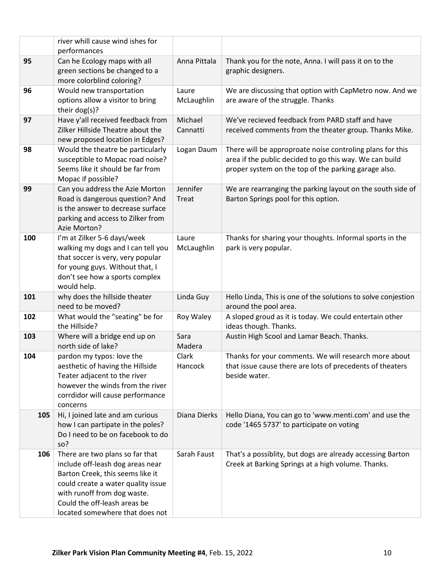|     | river whill cause wind ishes for                                        |                |                                                                                                                 |
|-----|-------------------------------------------------------------------------|----------------|-----------------------------------------------------------------------------------------------------------------|
|     | performances                                                            |                |                                                                                                                 |
| 95  | Can he Ecology maps with all<br>green sections be changed to a          | Anna Pittala   | Thank you for the note, Anna. I will pass it on to the<br>graphic designers.                                    |
|     | more colorblind coloring?                                               |                |                                                                                                                 |
| 96  | Would new transportation                                                | Laure          | We are discussing that option with CapMetro now. And we                                                         |
|     | options allow a visitor to bring                                        | McLaughlin     | are aware of the struggle. Thanks                                                                               |
|     | their $dog(s)$ ?                                                        |                |                                                                                                                 |
| 97  | Have y'all received feedback from                                       | Michael        | We've recieved feedback from PARD staff and have                                                                |
|     | Zilker Hillside Theatre about the                                       | Cannatti       | received comments from the theater group. Thanks Mike.                                                          |
|     | new proposed location in Edges?                                         |                |                                                                                                                 |
| 98  | Would the theatre be particularly                                       | Logan Daum     | There will be approproate noise controling plans for this                                                       |
|     | susceptible to Mopac road noise?<br>Seems like it should be far from    |                | area if the public decided to go this way. We can build<br>proper system on the top of the parking garage also. |
|     | Mopac if possible?                                                      |                |                                                                                                                 |
| 99  | Can you address the Azie Morton                                         | Jennifer       | We are rearranging the parking layout on the south side of                                                      |
|     | Road is dangerous question? And                                         | Treat          | Barton Springs pool for this option.                                                                            |
|     | is the answer to decrease surface                                       |                |                                                                                                                 |
|     | parking and access to Zilker from                                       |                |                                                                                                                 |
|     | Azie Morton?                                                            |                |                                                                                                                 |
| 100 | I'm at Zilker 5-6 days/week                                             | Laure          | Thanks for sharing your thoughts. Informal sports in the                                                        |
|     | walking my dogs and I can tell you<br>that soccer is very, very popular | McLaughlin     | park is very popular.                                                                                           |
|     | for young guys. Without that, I                                         |                |                                                                                                                 |
|     | don't see how a sports complex                                          |                |                                                                                                                 |
|     | would help.                                                             |                |                                                                                                                 |
| 101 | why does the hillside theater                                           | Linda Guy      | Hello Linda, This is one of the solutions to solve conjestion                                                   |
|     | need to be moved?                                                       |                | around the pool area.                                                                                           |
| 102 | What would the "seating" be for                                         | Roy Waley      | A sloped groud as it is today. We could entertain other                                                         |
|     | the Hillside?                                                           |                | ideas though. Thanks.                                                                                           |
| 103 | Where will a bridge end up on<br>north side of lake?                    | Sara<br>Madera | Austin High Scool and Lamar Beach. Thanks.                                                                      |
| 104 | pardon my typos: love the                                               | Clark          | Thanks for your comments. We will research more about                                                           |
|     | aesthetic of having the Hillside                                        | Hancock        | that issue cause there are lots of precedents of theaters                                                       |
|     | Teater adjacent to the river                                            |                | beside water.                                                                                                   |
|     | however the winds from the river                                        |                |                                                                                                                 |
|     | corrdidor will cause performance                                        |                |                                                                                                                 |
|     | concerns                                                                |                |                                                                                                                 |
| 105 | Hi, I joined late and am curious                                        | Diana Dierks   | Hello Diana, You can go to 'www.menti.com' and use the                                                          |
|     | how I can partipate in the poles?                                       |                | code '1465 5737' to participate on voting                                                                       |
|     | Do I need to be on facebook to do<br>so?                                |                |                                                                                                                 |
| 106 | There are two plans so far that                                         | Sarah Faust    | That's a possiblity, but dogs are already accessing Barton                                                      |
|     | include off-leash dog areas near                                        |                | Creek at Barking Springs at a high volume. Thanks.                                                              |
|     | Barton Creek, this seems like it                                        |                |                                                                                                                 |
|     | could create a water quality issue                                      |                |                                                                                                                 |
|     | with runoff from dog waste.                                             |                |                                                                                                                 |
|     | Could the off-leash areas be                                            |                |                                                                                                                 |
|     | located somewhere that does not                                         |                |                                                                                                                 |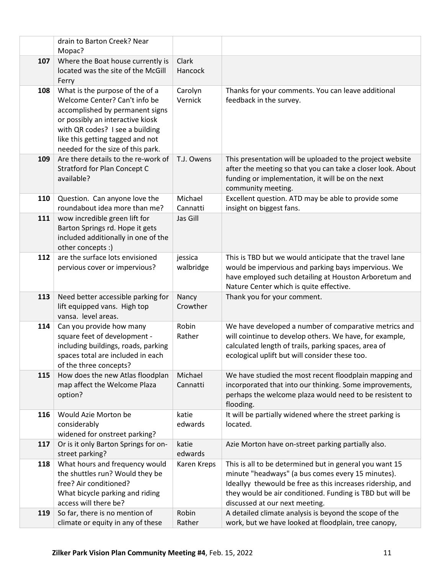|     | drain to Barton Creek? Near                                                                                                                                                                                                                         |                         |                                                                                                                                                                                                                                                                           |
|-----|-----------------------------------------------------------------------------------------------------------------------------------------------------------------------------------------------------------------------------------------------------|-------------------------|---------------------------------------------------------------------------------------------------------------------------------------------------------------------------------------------------------------------------------------------------------------------------|
|     | Mopac?                                                                                                                                                                                                                                              |                         |                                                                                                                                                                                                                                                                           |
| 107 | Where the Boat house currently is<br>located was the site of the McGill<br>Ferry                                                                                                                                                                    | <b>Clark</b><br>Hancock |                                                                                                                                                                                                                                                                           |
| 108 | What is the purpose of the of a<br>Welcome Center? Can't info be<br>accomplished by permanent signs<br>or possibly an interactive kiosk<br>with QR codes? I see a building<br>like this getting tagged and not<br>needed for the size of this park. | Carolyn<br>Vernick      | Thanks for your comments. You can leave additional<br>feedback in the survey.                                                                                                                                                                                             |
| 109 | Are there details to the re-work of<br><b>Stratford for Plan Concept C</b><br>available?                                                                                                                                                            | T.J. Owens              | This presentation will be uploaded to the project website<br>after the meeting so that you can take a closer look. About<br>funding or implementation, it will be on the next<br>community meeting.                                                                       |
| 110 | Question. Can anyone love the<br>roundabout idea more than me?                                                                                                                                                                                      | Michael<br>Cannatti     | Excellent question. ATD may be able to provide some<br>insight on biggest fans.                                                                                                                                                                                           |
| 111 | wow incredible green lift for<br>Barton Springs rd. Hope it gets<br>included additionally in one of the<br>other concepts :)                                                                                                                        | Jas Gill                |                                                                                                                                                                                                                                                                           |
| 112 | are the surface lots envisioned<br>pervious cover or impervious?                                                                                                                                                                                    | jessica<br>walbridge    | This is TBD but we would anticipate that the travel lane<br>would be impervious and parking bays impervious. We<br>have employed such detailing at Houston Arboretum and<br>Nature Center which is quite effective.                                                       |
| 113 | Need better accessible parking for<br>lift equipped vans. High top<br>vansa. level areas.                                                                                                                                                           | Nancy<br>Crowther       | Thank you for your comment.                                                                                                                                                                                                                                               |
| 114 | Can you provide how many<br>square feet of development -<br>including buildings, roads, parking<br>spaces total are included in each<br>of the three concepts?                                                                                      | Robin<br>Rather         | We have developed a number of comparative metrics and<br>will cointinue to develop others. We have, for example,<br>calculated length of trails, parking spaces, area of<br>ecological uplift but will consider these too.                                                |
| 115 | How does the new Atlas floodplan<br>map affect the Welcome Plaza<br>option?                                                                                                                                                                         | Michael<br>Cannatti     | We have studied the most recent floodplain mapping and<br>incorporated that into our thinking. Some improvements,<br>perhaps the welcome plaza would need to be resistent to<br>flooding.                                                                                 |
| 116 | Would Azie Morton be<br>considerably<br>widened for onstreet parking?                                                                                                                                                                               | katie<br>edwards        | It will be partially widened where the street parking is<br>located.                                                                                                                                                                                                      |
| 117 | Or is it only Barton Springs for on-<br>street parking?                                                                                                                                                                                             | katie<br>edwards        | Azie Morton have on-street parking partially also.                                                                                                                                                                                                                        |
| 118 | What hours and frequency would<br>the shuttles run? Would they be<br>free? Air conditioned?<br>What bicycle parking and riding<br>access will there be?                                                                                             | Karen Kreps             | This is all to be determined but in general you want 15<br>minute "headways" (a bus comes every 15 minutes).<br>Ideallyy thewould be free as this increases ridership, and<br>they would be air conditioned. Funding is TBD but will be<br>discussed at our next meeting. |
| 119 | So far, there is no mention of<br>climate or equity in any of these                                                                                                                                                                                 | Robin<br>Rather         | A detailed climate analysis is beyond the scope of the<br>work, but we have looked at floodplain, tree canopy,                                                                                                                                                            |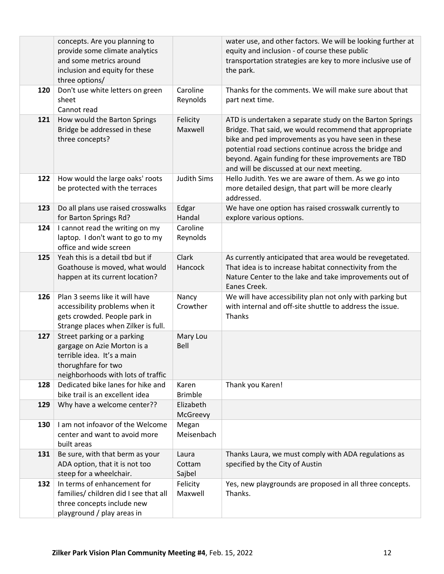|     | concepts. Are you planning to<br>provide some climate analytics<br>and some metrics around<br>inclusion and equity for these<br>three options/        |                           | water use, and other factors. We will be looking further at<br>equity and inclusion - of course these public<br>transportation strategies are key to more inclusive use of<br>the park.                                                                                                                                                   |
|-----|-------------------------------------------------------------------------------------------------------------------------------------------------------|---------------------------|-------------------------------------------------------------------------------------------------------------------------------------------------------------------------------------------------------------------------------------------------------------------------------------------------------------------------------------------|
| 120 | Don't use white letters on green<br>sheet<br>Cannot read                                                                                              | Caroline<br>Reynolds      | Thanks for the comments. We will make sure about that<br>part next time.                                                                                                                                                                                                                                                                  |
| 121 | How would the Barton Springs<br>Bridge be addressed in these<br>three concepts?                                                                       | Felicity<br>Maxwell       | ATD is undertaken a separate study on the Barton Springs<br>Bridge. That said, we would recommend that appropriate<br>bike and ped improvements as you have seen in these<br>potential road sections continue across the bridge and<br>beyond. Again funding for these improvements are TBD<br>and will be discussed at our next meeting. |
| 122 | How would the large oaks' roots<br>be protected with the terraces                                                                                     | <b>Judith Sims</b>        | Hello Judith. Yes we are aware of them. As we go into<br>more detailed design, that part will be more clearly<br>addressed.                                                                                                                                                                                                               |
| 123 | Do all plans use raised crosswalks<br>for Barton Springs Rd?                                                                                          | Edgar<br>Handal           | We have one option has raised crosswalk currently to<br>explore various options.                                                                                                                                                                                                                                                          |
| 124 | I cannot read the writing on my<br>laptop. I don't want to go to my<br>office and wide screen                                                         | Caroline<br>Reynolds      |                                                                                                                                                                                                                                                                                                                                           |
| 125 | Yeah this is a detail tbd but if<br>Goathouse is moved, what would<br>happen at its current location?                                                 | Clark<br>Hancock          | As currently anticipated that area would be revegetated.<br>That idea is to increase habitat connectivity from the<br>Nature Center to the lake and take improvements out of<br>Eanes Creek.                                                                                                                                              |
| 126 | Plan 3 seems like it will have<br>accessibility problems when it<br>gets crowded. People park in<br>Strange places when Zilker is full.               | Nancy<br>Crowther         | We will have accessibility plan not only with parking but<br>with internal and off-site shuttle to address the issue.<br>Thanks                                                                                                                                                                                                           |
| 127 | Street parking or a parking<br>gargage on Azie Morton is a<br>terrible idea. It's a main<br>thorughfare for two<br>neighborhoods with lots of traffic | Mary Lou<br>Bell          |                                                                                                                                                                                                                                                                                                                                           |
| 128 | Dedicated bike lanes for hike and<br>bike trail is an excellent idea                                                                                  | Karen<br><b>Brimble</b>   | Thank you Karen!                                                                                                                                                                                                                                                                                                                          |
| 129 | Why have a welcome center??                                                                                                                           | Elizabeth<br>McGreevy     |                                                                                                                                                                                                                                                                                                                                           |
| 130 | I am not infoavor of the Welcome<br>center and want to avoid more<br>built areas                                                                      | Megan<br>Meisenbach       |                                                                                                                                                                                                                                                                                                                                           |
| 131 | Be sure, with that berm as your<br>ADA option, that it is not too<br>steep for a wheelchair.                                                          | Laura<br>Cottam<br>Sajbel | Thanks Laura, we must comply with ADA regulations as<br>specified by the City of Austin                                                                                                                                                                                                                                                   |
| 132 | In terms of enhancement for<br>families/ children did I see that all<br>three concepts include new<br>playground / play areas in                      | Felicity<br>Maxwell       | Yes, new playgrounds are proposed in all three concepts.<br>Thanks.                                                                                                                                                                                                                                                                       |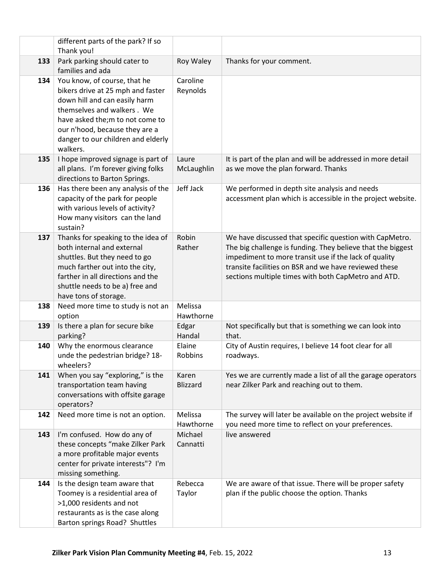|     | different parts of the park? If so<br>Thank you!                                                                                                                                                                                                         |                          |                                                                                                                                                                                                                                                                                                 |
|-----|----------------------------------------------------------------------------------------------------------------------------------------------------------------------------------------------------------------------------------------------------------|--------------------------|-------------------------------------------------------------------------------------------------------------------------------------------------------------------------------------------------------------------------------------------------------------------------------------------------|
| 133 | Park parking should cater to                                                                                                                                                                                                                             | Roy Waley                | Thanks for your comment.                                                                                                                                                                                                                                                                        |
|     | families and ada                                                                                                                                                                                                                                         |                          |                                                                                                                                                                                                                                                                                                 |
| 134 | You know, of course, that he<br>bikers drive at 25 mph and faster<br>down hill and can easily harm<br>themselves and walkers. We<br>have asked the; m to not come to<br>our n'hood, because they are a<br>danger to our children and elderly<br>walkers. | Caroline<br>Reynolds     |                                                                                                                                                                                                                                                                                                 |
| 135 | I hope improved signage is part of<br>all plans. I'm forever giving folks<br>directions to Barton Springs.                                                                                                                                               | Laure<br>McLaughlin      | It is part of the plan and will be addressed in more detail<br>as we move the plan forward. Thanks                                                                                                                                                                                              |
| 136 | Has there been any analysis of the<br>capacity of the park for people<br>with various levels of activity?<br>How many visitors can the land<br>sustain?                                                                                                  | Jeff Jack                | We performed in depth site analysis and needs<br>accessment plan which is accessible in the project website.                                                                                                                                                                                    |
| 137 | Thanks for speaking to the idea of<br>both internal and external<br>shuttles. But they need to go<br>much farther out into the city,<br>farther in all directions and the<br>shuttle needs to be a) free and<br>have tons of storage.                    | Robin<br>Rather          | We have discussed that specific question with CapMetro.<br>The big challenge is funding. They believe that the biggest<br>impediment to more transit use if the lack of quality<br>transite facilities on BSR and we have reviewed these<br>sections multiple times with both CapMetro and ATD. |
| 138 | Need more time to study is not an<br>option                                                                                                                                                                                                              | Melissa<br>Hawthorne     |                                                                                                                                                                                                                                                                                                 |
| 139 | Is there a plan for secure bike<br>parking?                                                                                                                                                                                                              | Edgar<br>Handal          | Not specifically but that is something we can look into<br>that.                                                                                                                                                                                                                                |
| 140 | Why the enormous clearance<br>unde the pedestrian bridge? 18-<br>wheelers?                                                                                                                                                                               | Elaine<br><b>Robbins</b> | City of Austin requires, I believe 14 foot clear for all<br>roadways.                                                                                                                                                                                                                           |
| 141 | When you say "exploring," is the<br>transportation team having<br>conversations with offsite garage<br>operators?                                                                                                                                        | Karen<br><b>Blizzard</b> | Yes we are currently made a list of all the garage operators<br>near Zilker Park and reaching out to them.                                                                                                                                                                                      |
| 142 | Need more time is not an option.                                                                                                                                                                                                                         | Melissa<br>Hawthorne     | The survey will later be available on the project website if<br>you need more time to reflect on your preferences.                                                                                                                                                                              |
| 143 | I'm confused. How do any of<br>these concepts "make Zilker Park<br>a more profitable major events<br>center for private interests"? I'm<br>missing something.                                                                                            | Michael<br>Cannatti      | live answered                                                                                                                                                                                                                                                                                   |
| 144 | Is the design team aware that<br>Toomey is a residential area of<br>>1,000 residents and not<br>restaurants as is the case along<br>Barton springs Road? Shuttles                                                                                        | Rebecca<br>Taylor        | We are aware of that issue. There will be proper safety<br>plan if the public choose the option. Thanks                                                                                                                                                                                         |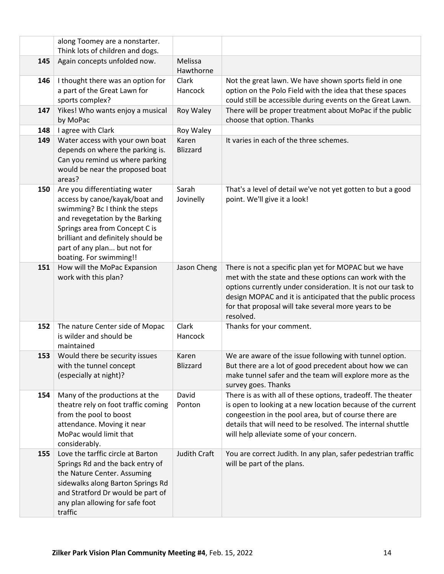|     | along Toomey are a nonstarter.<br>Think lots of children and dogs.                                                                                                                                                                                                      |                          |                                                                                                                                                                                                                                                                                                                     |
|-----|-------------------------------------------------------------------------------------------------------------------------------------------------------------------------------------------------------------------------------------------------------------------------|--------------------------|---------------------------------------------------------------------------------------------------------------------------------------------------------------------------------------------------------------------------------------------------------------------------------------------------------------------|
| 145 | Again concepts unfolded now.                                                                                                                                                                                                                                            | Melissa                  |                                                                                                                                                                                                                                                                                                                     |
|     |                                                                                                                                                                                                                                                                         | Hawthorne                |                                                                                                                                                                                                                                                                                                                     |
| 146 | I thought there was an option for<br>a part of the Great Lawn for<br>sports complex?                                                                                                                                                                                    | Clark<br>Hancock         | Not the great lawn. We have shown sports field in one<br>option on the Polo Field with the idea that these spaces<br>could still be accessible during events on the Great Lawn.                                                                                                                                     |
| 147 | Yikes! Who wants enjoy a musical                                                                                                                                                                                                                                        | Roy Waley                | There will be proper treatment about MoPac if the public                                                                                                                                                                                                                                                            |
|     | by MoPac                                                                                                                                                                                                                                                                |                          | choose that option. Thanks                                                                                                                                                                                                                                                                                          |
| 148 | I agree with Clark                                                                                                                                                                                                                                                      | Roy Waley                |                                                                                                                                                                                                                                                                                                                     |
| 149 | Water access with your own boat<br>depends on where the parking is.<br>Can you remind us where parking<br>would be near the proposed boat<br>areas?                                                                                                                     | Karen<br><b>Blizzard</b> | It varies in each of the three schemes.                                                                                                                                                                                                                                                                             |
| 150 | Are you differentiating water<br>access by canoe/kayak/boat and<br>swimming? Bc I think the steps<br>and revegetation by the Barking<br>Springs area from Concept C is<br>brilliant and definitely should be<br>part of any plan but not for<br>boating. For swimming!! | Sarah<br>Jovinelly       | That's a level of detail we've not yet gotten to but a good<br>point. We'll give it a look!                                                                                                                                                                                                                         |
| 151 | How will the MoPac Expansion<br>work with this plan?                                                                                                                                                                                                                    | Jason Cheng              | There is not a specific plan yet for MOPAC but we have<br>met with the state and these options can work with the<br>options currently under consideration. It is not our task to<br>design MOPAC and it is anticipated that the public process<br>for that proposal will take several more years to be<br>resolved. |
| 152 | The nature Center side of Mopac<br>is wilder and should be<br>maintained                                                                                                                                                                                                | Clark<br>Hancock         | Thanks for your comment.                                                                                                                                                                                                                                                                                            |
| 153 | Would there be security issues<br>with the tunnel concept<br>(especially at night)?                                                                                                                                                                                     | Karen<br><b>Blizzard</b> | We are aware of the issue following with tunnel option.<br>But there are a lot of good precedent about how we can<br>make tunnel safer and the team will explore more as the<br>survey goes. Thanks                                                                                                                 |
| 154 | Many of the productions at the<br>theatre rely on foot traffic coming<br>from the pool to boost<br>attendance. Moving it near<br>MoPac would limit that<br>considerably.                                                                                                | David<br>Ponton          | There is as with all of these options, tradeoff. The theater<br>is open to looking at a new location because of the current<br>congeestion in the pool area, but of course there are<br>details that will need to be resolved. The internal shuttle<br>will help alleviate some of your concern.                    |
| 155 | Love the tarffic circle at Barton<br>Springs Rd and the back entry of<br>the Nature Center. Assuming<br>sidewalks along Barton Springs Rd<br>and Stratford Dr would be part of<br>any plan allowing for safe foot<br>traffic                                            | Judith Craft             | You are correct Judith. In any plan, safer pedestrian traffic<br>will be part of the plans.                                                                                                                                                                                                                         |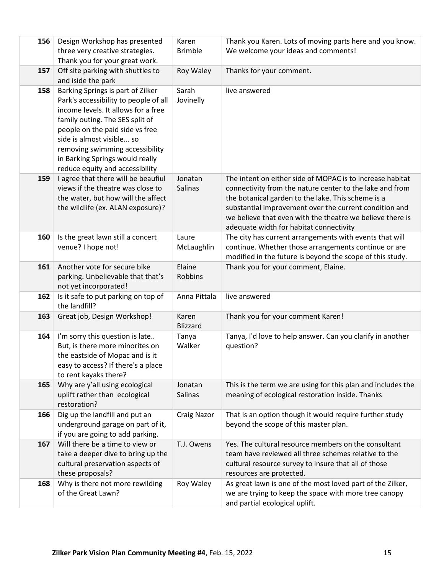| 156 | Design Workshop has presented                                       | Karen                    | Thank you Karen. Lots of moving parts here and you know.                                         |
|-----|---------------------------------------------------------------------|--------------------------|--------------------------------------------------------------------------------------------------|
|     | three very creative strategies.                                     | <b>Brimble</b>           | We welcome your ideas and comments!                                                              |
|     | Thank you for your great work.                                      |                          |                                                                                                  |
| 157 | Off site parking with shuttles to                                   | Roy Waley                | Thanks for your comment.                                                                         |
|     | and iside the park                                                  |                          |                                                                                                  |
| 158 | Barking Springs is part of Zilker                                   | Sarah                    | live answered                                                                                    |
|     | Park's accessibility to people of all                               | Jovinelly                |                                                                                                  |
|     | income levels. It allows for a free                                 |                          |                                                                                                  |
|     | family outing. The SES split of                                     |                          |                                                                                                  |
|     | people on the paid side vs free                                     |                          |                                                                                                  |
|     | side is almost visible so                                           |                          |                                                                                                  |
|     | removing swimming accessibility                                     |                          |                                                                                                  |
|     | in Barking Springs would really                                     |                          |                                                                                                  |
|     | reduce equity and accessibility                                     |                          |                                                                                                  |
| 159 | I agree that there will be beaufiul                                 | Jonatan                  | The intent on either side of MOPAC is to increase habitat                                        |
|     | views if the theatre was close to                                   | <b>Salinas</b>           | connectivity from the nature center to the lake and from                                         |
|     | the water, but how will the affect                                  |                          | the botanical garden to the lake. This scheme is a                                               |
|     | the wildlife (ex. ALAN exposure)?                                   |                          | substantial improvement over the current condition and                                           |
|     |                                                                     |                          | we believe that even with the theatre we believe there is                                        |
|     |                                                                     |                          | adequate width for habitat connectivity                                                          |
| 160 | Is the great lawn still a concert                                   | Laure                    | The city has current arrangements with events that will                                          |
|     | venue? I hope not!                                                  | McLaughlin               | continue. Whether those arrangements continue or are                                             |
|     |                                                                     |                          | modified in the future is beyond the scope of this study.                                        |
| 161 | Another vote for secure bike                                        | Elaine<br><b>Robbins</b> | Thank you for your comment, Elaine.                                                              |
|     | parking. Unbelievable that that's<br>not yet incorporated!          |                          |                                                                                                  |
| 162 | Is it safe to put parking on top of                                 | Anna Pittala             | live answered                                                                                    |
|     | the landfill?                                                       |                          |                                                                                                  |
| 163 | Great job, Design Workshop!                                         | Karen                    | Thank you for your comment Karen!                                                                |
|     |                                                                     | <b>Blizzard</b>          |                                                                                                  |
| 164 | I'm sorry this question is late                                     | Tanya                    | Tanya, I'd love to help answer. Can you clarify in another                                       |
|     | But, is there more minorites on                                     | Walker                   | question?                                                                                        |
|     | the eastside of Mopac and is it                                     |                          |                                                                                                  |
|     | easy to access? If there's a place                                  |                          |                                                                                                  |
|     | to rent kayaks there?                                               |                          |                                                                                                  |
| 165 | Why are y'all using ecological                                      | Jonatan                  | This is the term we are using for this plan and includes the                                     |
|     | uplift rather than ecological                                       | Salinas                  | meaning of ecological restoration inside. Thanks                                                 |
|     | restoration?                                                        |                          |                                                                                                  |
| 166 | Dig up the landfill and put an<br>underground garage on part of it, | <b>Craig Nazor</b>       | That is an option though it would require further study<br>beyond the scope of this master plan. |
|     | if you are going to add parking.                                    |                          |                                                                                                  |
| 167 | Will there be a time to view or                                     | T.J. Owens               | Yes. The cultural resource members on the consultant                                             |
|     | take a deeper dive to bring up the                                  |                          | team have reviewed all three schemes relative to the                                             |
|     | cultural preservation aspects of                                    |                          | cultural resource survey to insure that all of those                                             |
|     | these proposals?                                                    |                          | resources are protected.                                                                         |
| 168 | Why is there not more rewilding                                     | Roy Waley                | As great lawn is one of the most loved part of the Zilker,                                       |
|     | of the Great Lawn?                                                  |                          | we are trying to keep the space with more tree canopy                                            |
|     |                                                                     |                          | and partial ecological uplift.                                                                   |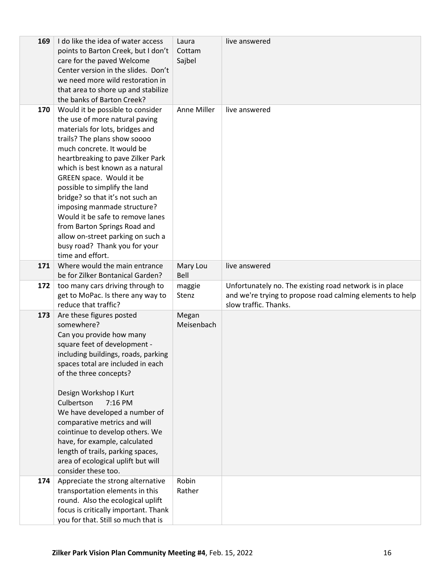| 169 | I do like the idea of water access<br>points to Barton Creek, but I don't<br>care for the paved Welcome<br>Center version in the slides. Don't<br>we need more wild restoration in<br>that area to shore up and stabilize<br>the banks of Barton Creek?                                                                                                                                                                                                                                                                                    | Laura<br>Cottam<br>Sajbel | live answered                                                                                                                                 |
|-----|--------------------------------------------------------------------------------------------------------------------------------------------------------------------------------------------------------------------------------------------------------------------------------------------------------------------------------------------------------------------------------------------------------------------------------------------------------------------------------------------------------------------------------------------|---------------------------|-----------------------------------------------------------------------------------------------------------------------------------------------|
| 170 | Would it be possible to consider<br>the use of more natural paving<br>materials for lots, bridges and<br>trails? The plans show soooo<br>much concrete. It would be<br>heartbreaking to pave Zilker Park<br>which is best known as a natural<br>GREEN space. Would it be<br>possible to simplify the land<br>bridge? so that it's not such an<br>imposing manmade structure?<br>Would it be safe to remove lanes<br>from Barton Springs Road and<br>allow on-street parking on such a<br>busy road? Thank you for your<br>time and effort. | Anne Miller               | live answered                                                                                                                                 |
| 171 | Where would the main entrance<br>be for Zilker Bontanical Garden?                                                                                                                                                                                                                                                                                                                                                                                                                                                                          | Mary Lou<br>Bell          | live answered                                                                                                                                 |
| 172 | too many cars driving through to<br>get to MoPac. Is there any way to<br>reduce that traffic?                                                                                                                                                                                                                                                                                                                                                                                                                                              | maggie<br>Stenz           | Unfortunately no. The existing road network is in place<br>and we're trying to propose road calming elements to help<br>slow traffic. Thanks. |
| 173 | Are these figures posted<br>somewhere?<br>Can you provide how many<br>square feet of development -<br>including buildings, roads, parking<br>spaces total are included in each<br>of the three concepts?<br>Design Workshop I Kurt<br>Culbertson<br>7:16 PM<br>We have developed a number of<br>comparative metrics and will<br>cointinue to develop others. We<br>have, for example, calculated<br>length of trails, parking spaces,<br>area of ecological uplift but will<br>consider these too.                                         | Megan<br>Meisenbach       |                                                                                                                                               |
| 174 | Appreciate the strong alternative<br>transportation elements in this<br>round. Also the ecological uplift<br>focus is critically important. Thank                                                                                                                                                                                                                                                                                                                                                                                          | Robin<br>Rather           |                                                                                                                                               |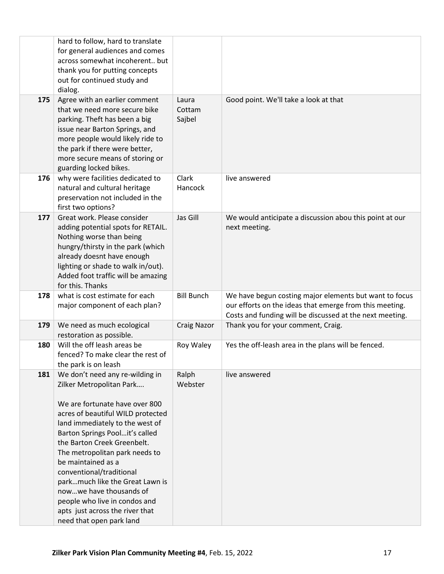|     | hard to follow, hard to translate<br>for general audiences and comes<br>across somewhat incoherent but<br>thank you for putting concepts<br>out for continued study and<br>dialog.                                                                                                                                                                                                                                                                                                       |                           |                                                                                                                                                                               |
|-----|------------------------------------------------------------------------------------------------------------------------------------------------------------------------------------------------------------------------------------------------------------------------------------------------------------------------------------------------------------------------------------------------------------------------------------------------------------------------------------------|---------------------------|-------------------------------------------------------------------------------------------------------------------------------------------------------------------------------|
| 175 | Agree with an earlier comment<br>that we need more secure bike<br>parking. Theft has been a big<br>issue near Barton Springs, and<br>more people would likely ride to<br>the park if there were better,<br>more secure means of storing or<br>guarding locked bikes.                                                                                                                                                                                                                     | Laura<br>Cottam<br>Sajbel | Good point. We'll take a look at that                                                                                                                                         |
| 176 | why were facilities dedicated to<br>natural and cultural heritage<br>preservation not included in the<br>first two options?                                                                                                                                                                                                                                                                                                                                                              | Clark<br>Hancock          | live answered                                                                                                                                                                 |
| 177 | Great work. Please consider<br>adding potential spots for RETAIL.<br>Nothing worse than being<br>hungry/thirsty in the park (which<br>already doesnt have enough<br>lighting or shade to walk in/out).<br>Added foot traffic will be amazing<br>for this. Thanks                                                                                                                                                                                                                         | Jas Gill                  | We would anticipate a discussion abou this point at our<br>next meeting.                                                                                                      |
| 178 | what is cost estimate for each<br>major component of each plan?                                                                                                                                                                                                                                                                                                                                                                                                                          | <b>Bill Bunch</b>         | We have begun costing major elements but want to focus<br>our efforts on the ideas that emerge from this meeting.<br>Costs and funding will be discussed at the next meeting. |
| 179 | We need as much ecological<br>restoration as possible.                                                                                                                                                                                                                                                                                                                                                                                                                                   | <b>Craig Nazor</b>        | Thank you for your comment, Craig.                                                                                                                                            |
| 180 | Will the off leash areas be<br>fenced? To make clear the rest of<br>the park is on leash                                                                                                                                                                                                                                                                                                                                                                                                 | Roy Waley                 | Yes the off-leash area in the plans will be fenced.                                                                                                                           |
| 181 | We don't need any re-wilding in<br>Zilker Metropolitan Park<br>We are fortunate have over 800<br>acres of beautiful WILD protected<br>land immediately to the west of<br>Barton Springs Poolit's called<br>the Barton Creek Greenbelt.<br>The metropolitan park needs to<br>be maintained as a<br>conventional/traditional<br>parkmuch like the Great Lawn is<br>nowwe have thousands of<br>people who live in condos and<br>apts just across the river that<br>need that open park land | Ralph<br>Webster          | live answered                                                                                                                                                                 |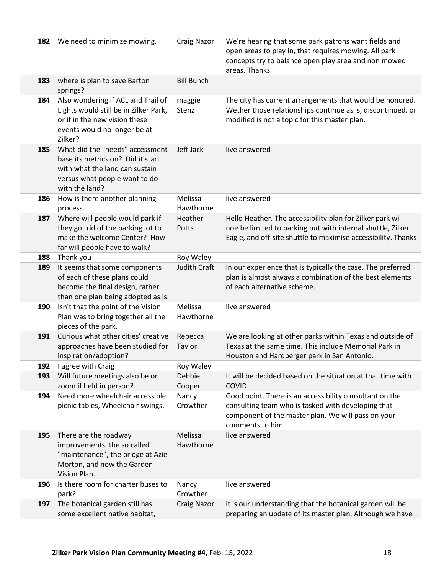| 182 | We need to minimize mowing.                                                                                                                               | <b>Craig Nazor</b>   | We're hearing that some park patrons want fields and<br>open areas to play in, that requires mowing. All park<br>concepts try to balance open play area and non mowed<br>areas. Thanks.    |
|-----|-----------------------------------------------------------------------------------------------------------------------------------------------------------|----------------------|--------------------------------------------------------------------------------------------------------------------------------------------------------------------------------------------|
| 183 | where is plan to save Barton<br>springs?                                                                                                                  | <b>Bill Bunch</b>    |                                                                                                                                                                                            |
| 184 | Also wondering if ACL and Trail of<br>Lights would still be in Zilker Park,<br>or if in the new vision these<br>events would no longer be at<br>Zilker?   | maggie<br>Stenz      | The city has current arrangements that would be honored.<br>Wether those relationships continue as is, discontinued, or<br>modified is not a topic for this master plan.                   |
| 185 | What did the "needs" accessment<br>base its metrics on? Did it start<br>with what the land can sustain<br>versus what people want to do<br>with the land? | Jeff Jack            | live answered                                                                                                                                                                              |
| 186 | How is there another planning<br>process.                                                                                                                 | Melissa<br>Hawthorne | live answered                                                                                                                                                                              |
| 187 | Where will people would park if<br>they got rid of the parking lot to<br>make the welcome Center? How<br>far will people have to walk?                    | Heather<br>Potts     | Hello Heather. The accessibility plan for Zilker park will<br>noe be limited to parking but with internal shuttle, Zilker<br>Eagle, and off-site shuttle to maximise accessibility. Thanks |
| 188 | Thank you                                                                                                                                                 | Roy Waley            |                                                                                                                                                                                            |
| 189 | It seems that some components<br>of each of these plans could<br>become the final design, rather<br>than one plan being adopted as is.                    | <b>Judith Craft</b>  | In our experience that is typically the case. The preferred<br>plan is almost always a combination of the best elements<br>of each alternative scheme.                                     |
| 190 | Isn't that the point of the Vision<br>Plan was to bring together all the<br>pieces of the park.                                                           | Melissa<br>Hawthorne | live answered                                                                                                                                                                              |
| 191 | Curious what other cities' creative<br>approaches have been studied for<br>inspiration/adoption?                                                          | Rebecca<br>Taylor    | We are looking at other parks within Texas and outside of<br>Texas at the same time. This include Memorial Park in<br>Houston and Hardberger park in San Antonio.                          |
| 192 | I agree with Craig                                                                                                                                        | Roy Waley            |                                                                                                                                                                                            |
| 193 | Will future meetings also be on<br>zoom if held in person?                                                                                                | Debbie<br>Cooper     | It will be decided based on the situation at that time with<br>COVID.                                                                                                                      |
| 194 | Need more wheelchair accessible<br>picnic tables, Wheelchair swings.                                                                                      | Nancy<br>Crowther    | Good point. There is an accessibility consultant on the<br>consulting team who is tasked with developing that<br>component of the master plan. We will pass on your<br>comments to him.    |
| 195 | There are the roadway<br>improvements, the so called<br>"maintenance", the bridge at Azie<br>Morton, and now the Garden<br>Vision Plan                    | Melissa<br>Hawthorne | live answered                                                                                                                                                                              |
| 196 | Is there room for charter buses to<br>park?                                                                                                               | Nancy<br>Crowther    | live answered                                                                                                                                                                              |
| 197 | The botanical garden still has                                                                                                                            | <b>Craig Nazor</b>   | it is our understanding that the botanical garden will be                                                                                                                                  |
|     | some excellent native habitat,                                                                                                                            |                      | preparing an update of its master plan. Although we have                                                                                                                                   |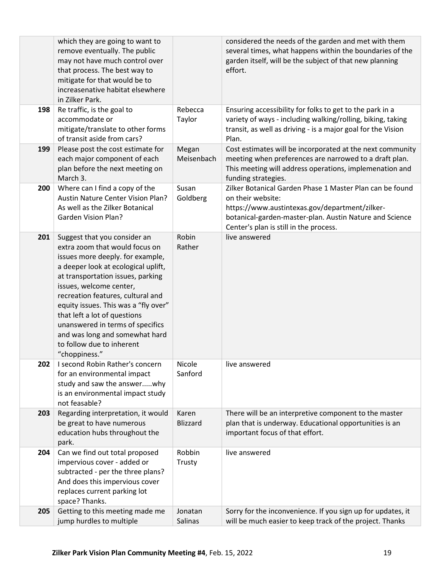|     | which they are going to want to<br>remove eventually. The public<br>may not have much control over<br>that process. The best way to<br>mitigate for that would be to<br>increasenative habitat elsewhere<br>in Zilker Park.                                                                                                                                                                                                                |                          | considered the needs of the garden and met with them<br>several times, what happens within the boundaries of the<br>garden itself, will be the subject of that new planning<br>effort.                                               |
|-----|--------------------------------------------------------------------------------------------------------------------------------------------------------------------------------------------------------------------------------------------------------------------------------------------------------------------------------------------------------------------------------------------------------------------------------------------|--------------------------|--------------------------------------------------------------------------------------------------------------------------------------------------------------------------------------------------------------------------------------|
| 198 | Re traffic, is the goal to<br>accommodate or<br>mitigate/translate to other forms<br>of transit aside from cars?                                                                                                                                                                                                                                                                                                                           | Rebecca<br>Taylor        | Ensuring accessibility for folks to get to the park in a<br>variety of ways - including walking/rolling, biking, taking<br>transit, as well as driving - is a major goal for the Vision<br>Plan.                                     |
| 199 | Please post the cost estimate for<br>each major component of each<br>plan before the next meeting on<br>March 3.                                                                                                                                                                                                                                                                                                                           | Megan<br>Meisenbach      | Cost estimates will be incorporated at the next community<br>meeting when preferences are narrowed to a draft plan.<br>This meeting will address operations, implemenation and<br>funding strategies.                                |
| 200 | Where can I find a copy of the<br>Austin Nature Center Vision Plan?<br>As well as the Zilker Botanical<br><b>Garden Vision Plan?</b>                                                                                                                                                                                                                                                                                                       | Susan<br>Goldberg        | Zilker Botanical Garden Phase 1 Master Plan can be found<br>on their website:<br>https://www.austintexas.gov/department/zilker-<br>botanical-garden-master-plan. Austin Nature and Science<br>Center's plan is still in the process. |
| 201 | Suggest that you consider an<br>extra zoom that would focus on<br>issues more deeply. for example,<br>a deeper look at ecological uplift,<br>at transportation issues, parking<br>issues, welcome center,<br>recreation features, cultural and<br>equity issues. This was a "fly over"<br>that left a lot of questions<br>unanswered in terms of specifics<br>and was long and somewhat hard<br>to follow due to inherent<br>"choppiness." | Robin<br>Rather          | live answered                                                                                                                                                                                                                        |
| 202 | I second Robin Rather's concern<br>for an environmental impact<br>study and saw the answerwhy<br>is an environmental impact study<br>not feasable?                                                                                                                                                                                                                                                                                         | Nicole<br>Sanford        | live answered                                                                                                                                                                                                                        |
| 203 | Regarding interpretation, it would<br>be great to have numerous<br>education hubs throughout the<br>park.                                                                                                                                                                                                                                                                                                                                  | Karen<br><b>Blizzard</b> | There will be an interpretive component to the master<br>plan that is underway. Educational opportunities is an<br>important focus of that effort.                                                                                   |
| 204 | Can we find out total proposed<br>impervious cover - added or<br>subtracted - per the three plans?<br>And does this impervious cover<br>replaces current parking lot<br>space? Thanks.                                                                                                                                                                                                                                                     | Robbin<br>Trusty         | live answered                                                                                                                                                                                                                        |
| 205 | Getting to this meeting made me<br>jump hurdles to multiple                                                                                                                                                                                                                                                                                                                                                                                | Jonatan<br>Salinas       | Sorry for the inconvenience. If you sign up for updates, it<br>will be much easier to keep track of the project. Thanks                                                                                                              |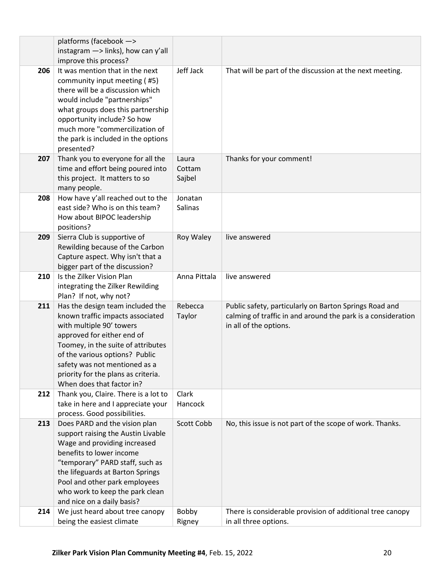|     | platforms (facebook ->                                                                                                                                                                                                                                                                                      |                           |                                                                                                                                                  |
|-----|-------------------------------------------------------------------------------------------------------------------------------------------------------------------------------------------------------------------------------------------------------------------------------------------------------------|---------------------------|--------------------------------------------------------------------------------------------------------------------------------------------------|
|     | instagram $\rightarrow$ links), how can y'all<br>improve this process?                                                                                                                                                                                                                                      |                           |                                                                                                                                                  |
| 206 | It was mention that in the next<br>community input meeting (#5)<br>there will be a discussion which<br>would include "partnerships"<br>what groups does this partnership<br>opportunity include? So how<br>much more "commercilization of<br>the park is included in the options<br>presented?              | Jeff Jack                 | That will be part of the discussion at the next meeting.                                                                                         |
| 207 | Thank you to everyone for all the<br>time and effort being poured into<br>this project. It matters to so<br>many people.                                                                                                                                                                                    | Laura<br>Cottam<br>Sajbel | Thanks for your comment!                                                                                                                         |
| 208 | How have y'all reached out to the<br>east side? Who is on this team?<br>How about BIPOC leadership<br>positions?                                                                                                                                                                                            | Jonatan<br>Salinas        |                                                                                                                                                  |
| 209 | Sierra Club is supportive of<br>Rewilding because of the Carbon<br>Capture aspect. Why isn't that a<br>bigger part of the discussion?                                                                                                                                                                       | Roy Waley                 | live answered                                                                                                                                    |
| 210 | Is the Zilker Vision Plan<br>integrating the Zilker Rewilding<br>Plan? If not, why not?                                                                                                                                                                                                                     | Anna Pittala              | live answered                                                                                                                                    |
| 211 | Has the design team included the<br>known traffic impacts associated<br>with multiple 90' towers<br>approved for either end of<br>Toomey, in the suite of attributes<br>of the various options? Public<br>safety was not mentioned as a<br>priority for the plans as criteria.<br>When does that factor in? | Rebecca<br>Taylor         | Public safety, particularly on Barton Springs Road and<br>calming of traffic in and around the park is a consideration<br>in all of the options. |
| 212 | Thank you, Claire. There is a lot to<br>take in here and I appreciate your<br>process. Good possibilities.                                                                                                                                                                                                  | Clark<br>Hancock          |                                                                                                                                                  |
| 213 | Does PARD and the vision plan<br>support raising the Austin Livable<br>Wage and providing increased<br>benefits to lower income<br>"temporary" PARD staff, such as<br>the lifeguards at Barton Springs<br>Pool and other park employees<br>who work to keep the park clean<br>and nice on a daily basis?    | Scott Cobb                | No, this issue is not part of the scope of work. Thanks.                                                                                         |
| 214 | We just heard about tree canopy<br>being the easiest climate                                                                                                                                                                                                                                                | Bobby<br>Rigney           | There is considerable provision of additional tree canopy<br>in all three options.                                                               |
|     |                                                                                                                                                                                                                                                                                                             |                           |                                                                                                                                                  |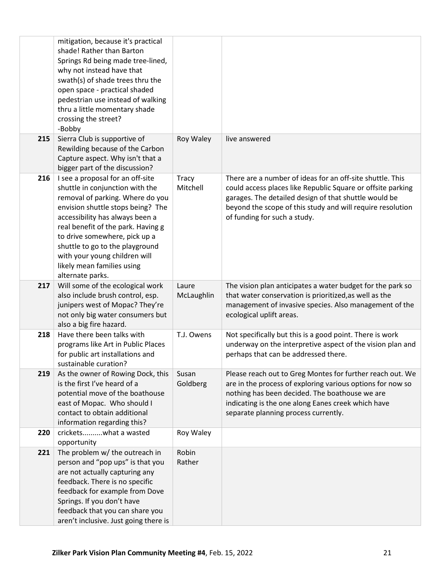|     | mitigation, because it's practical<br>shade! Rather than Barton<br>Springs Rd being made tree-lined,<br>why not instead have that<br>swath(s) of shade trees thru the<br>open space - practical shaded<br>pedestrian use instead of walking<br>thru a little momentary shade<br>crossing the street?<br>-Bobby                                                               |                          |                                                                                                                                                                                                                                                                                 |
|-----|------------------------------------------------------------------------------------------------------------------------------------------------------------------------------------------------------------------------------------------------------------------------------------------------------------------------------------------------------------------------------|--------------------------|---------------------------------------------------------------------------------------------------------------------------------------------------------------------------------------------------------------------------------------------------------------------------------|
| 215 | Sierra Club is supportive of<br>Rewilding because of the Carbon<br>Capture aspect. Why isn't that a<br>bigger part of the discussion?                                                                                                                                                                                                                                        | Roy Waley                | live answered                                                                                                                                                                                                                                                                   |
| 216 | I see a proposal for an off-site<br>shuttle in conjunction with the<br>removal of parking. Where do you<br>envision shuttle stops being? The<br>accessibility has always been a<br>real benefit of the park. Having g<br>to drive somewhere, pick up a<br>shuttle to go to the playground<br>with your young children will<br>likely mean families using<br>alternate parks. | <b>Tracy</b><br>Mitchell | There are a number of ideas for an off-site shuttle. This<br>could access places like Republic Square or offsite parking<br>garages. The detailed design of that shuttle would be<br>beyond the scope of this study and will require resolution<br>of funding for such a study. |
| 217 | Will some of the ecological work<br>also include brush control, esp.<br>junipers west of Mopac? They're<br>not only big water consumers but<br>also a big fire hazard.                                                                                                                                                                                                       | Laure<br>McLaughlin      | The vision plan anticipates a water budget for the park so<br>that water conservation is prioritized, as well as the<br>management of invasive species. Also management of the<br>ecological uplift areas.                                                                      |
| 218 | Have there been talks with<br>programs like Art in Public Places<br>for public art installations and<br>sustainable curation?                                                                                                                                                                                                                                                | T.J. Owens               | Not specifically but this is a good point. There is work<br>underway on the interpretive aspect of the vision plan and<br>perhaps that can be addressed there.                                                                                                                  |
| 219 | As the owner of Rowing Dock, this<br>is the first I've heard of a<br>potential move of the boathouse<br>east of Mopac. Who should I<br>contact to obtain additional<br>information regarding this?                                                                                                                                                                           | Susan<br>Goldberg        | Please reach out to Greg Montes for further reach out. We<br>are in the process of exploring various options for now so<br>nothing has been decided. The boathouse we are<br>indicating is the one along Eanes creek which have<br>separate planning process currently.         |
| 220 | cricketswhat a wasted<br>opportunity                                                                                                                                                                                                                                                                                                                                         | Roy Waley                |                                                                                                                                                                                                                                                                                 |
| 221 | The problem w/ the outreach in<br>person and "pop ups" is that you<br>are not actually capturing any<br>feedback. There is no specific<br>feedback for example from Dove<br>Springs. If you don't have<br>feedback that you can share you<br>aren't inclusive. Just going there is                                                                                           | Robin<br>Rather          |                                                                                                                                                                                                                                                                                 |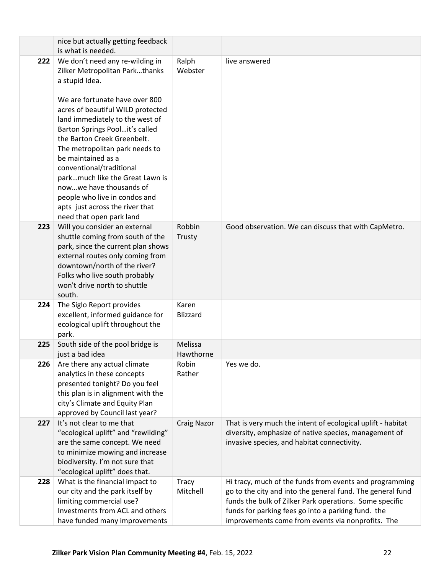|     | nice but actually getting feedback                                                                                                                                                                                                                                                                                                                                                                                                                                                                               |                          |                                                                                                                                                                                                                                                                                             |
|-----|------------------------------------------------------------------------------------------------------------------------------------------------------------------------------------------------------------------------------------------------------------------------------------------------------------------------------------------------------------------------------------------------------------------------------------------------------------------------------------------------------------------|--------------------------|---------------------------------------------------------------------------------------------------------------------------------------------------------------------------------------------------------------------------------------------------------------------------------------------|
|     | is what is needed.                                                                                                                                                                                                                                                                                                                                                                                                                                                                                               |                          |                                                                                                                                                                                                                                                                                             |
| 222 | We don't need any re-wilding in<br>Zilker Metropolitan Parkthanks<br>a stupid Idea.<br>We are fortunate have over 800<br>acres of beautiful WILD protected<br>land immediately to the west of<br>Barton Springs Poolit's called<br>the Barton Creek Greenbelt.<br>The metropolitan park needs to<br>be maintained as a<br>conventional/traditional<br>parkmuch like the Great Lawn is<br>nowwe have thousands of<br>people who live in condos and<br>apts just across the river that<br>need that open park land | Ralph<br>Webster         | live answered                                                                                                                                                                                                                                                                               |
| 223 | Will you consider an external<br>shuttle coming from south of the<br>park, since the current plan shows<br>external routes only coming from<br>downtown/north of the river?<br>Folks who live south probably<br>won't drive north to shuttle<br>south.                                                                                                                                                                                                                                                           | Robbin<br>Trusty         | Good observation. We can discuss that with CapMetro.                                                                                                                                                                                                                                        |
| 224 | The Siglo Report provides<br>excellent, informed guidance for<br>ecological uplift throughout the<br>park.                                                                                                                                                                                                                                                                                                                                                                                                       | Karen<br><b>Blizzard</b> |                                                                                                                                                                                                                                                                                             |
| 225 | South side of the pool bridge is<br>just a bad idea                                                                                                                                                                                                                                                                                                                                                                                                                                                              | Melissa<br>Hawthorne     |                                                                                                                                                                                                                                                                                             |
| 226 | Are there any actual climate<br>analytics in these concepts<br>presented tonight? Do you feel<br>this plan is in alignment with the<br>city's Climate and Equity Plan<br>approved by Council last year?                                                                                                                                                                                                                                                                                                          | Robin<br>Rather          | Yes we do.                                                                                                                                                                                                                                                                                  |
| 227 | It's not clear to me that<br>"ecological uplift" and "rewilding"<br>are the same concept. We need<br>to minimize mowing and increase<br>biodiversity. I'm not sure that<br>"ecological uplift" does that.                                                                                                                                                                                                                                                                                                        | <b>Craig Nazor</b>       | That is very much the intent of ecological uplift - habitat<br>diversity, emphasize of native species, management of<br>invasive species, and habitat connectivity.                                                                                                                         |
| 228 | What is the financial impact to<br>our city and the park itself by<br>limiting commercial use?<br>Investments from ACL and others<br>have funded many improvements                                                                                                                                                                                                                                                                                                                                               | <b>Tracy</b><br>Mitchell | Hi tracy, much of the funds from events and programming<br>go to the city and into the general fund. The general fund<br>funds the bulk of Zilker Park operations. Some specific<br>funds for parking fees go into a parking fund. the<br>improvements come from events via nonprofits. The |